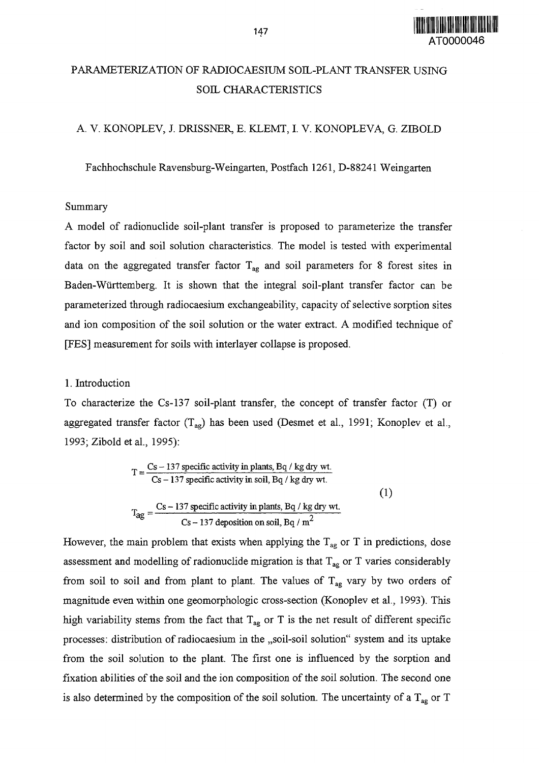

# PARAMETERIZATION OF RADIOCAESIUM SOIL-PLANT TRANSFER USING SOIL CHARACTERISTICS

A. V. KONOPLEV, J. DRISSNER, E. KLEMT, I. V. KONOPLEVA, G. ZIBOLD

Fachhochschule Ravensburg-Weingarten, Postfach 1261, D-88241 Weingarten

#### Summary

A model of radionuclide soil-plant transfer is proposed to parameterize the transfer factor by soil and soil solution characteristics. The model is tested with experimental data on the aggregated transfer factor  $T_{ag}$  and soil parameters for 8 forest sites in Baden-Wurttemberg. It is shown that the integral soil-plant transfer factor can be parameterized through radiocaesium exchangeability, capacity of selective sorption sites and ion composition of the soil solution or the water extract. A modified technique of [FES] measurement for soils with interlayer collapse is proposed.

## 1. Introduction

To characterize the Cs-137 soil-plant transfer, the concept of transfer factor (T) or aggregated transfer factor  $(T_{ag})$  has been used (Desmet et al., 1991; Konoplev et al., 1993; Zibold et al., 1995):

$$
T = \frac{Cs - 137 \text{ specific activity in plants, Bq } / \text{ kg dry wt.}}{Cs - 137 \text{ specific activity in soil, Bq } / \text{ kg dry wt.}}
$$
\n
$$
T_{ag} = \frac{Cs - 137 \text{ specific activity in plants, Bq } / \text{ kg dry wt.}}{Cs - 137 \text{ deposition on soil. Ba } / \text{ m}^2}
$$
\n(1)

 $\mathbf{C}$  - 137 deposition on soil,  $\mathbf{C}$  and

However, the main problem that exists when applying the  $T_{\text{ag}}$  or T in predictions, dose assessment and modelling of radionuclide migration is that  $T_{ag}$  or T varies considerably from soil to soil and from plant to plant. The values of  $T_{ag}$  vary by two orders of magnitude even within one geomorphologic cross-section (Konoplev et al., 1993). This high variability stems from the fact that  $T_{\text{ag}}$  or T is the net result of different specific processes: distribution of radiocaesium in the ,,soil-soil solution" system and its uptake from the soil solution to the plant. The first one is influenced by the sorption and fixation abilities of the soil and the ion composition of the soil solution. The second one is also determined by the composition of the soil solution. The uncertainty of a  $T_{ag}$  or T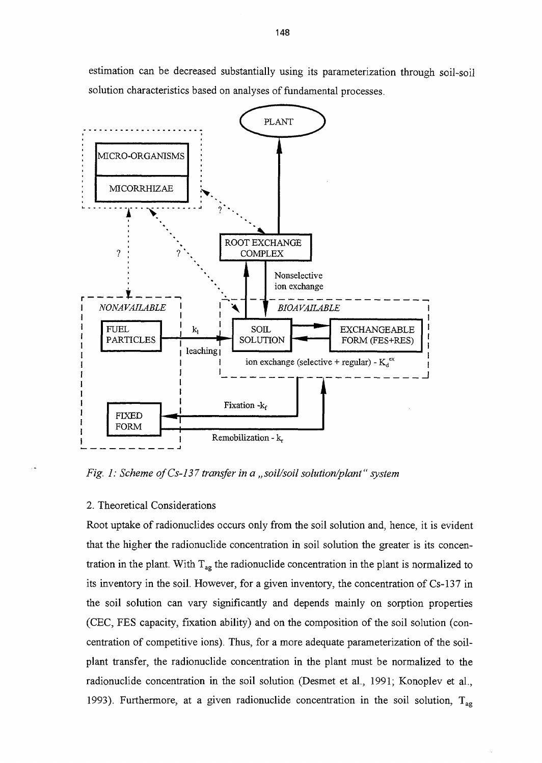estimation can be decreased substantially using its parameterization through soil-soil solution characteristics based on analyses of fundamental processes.



*Fig. 1: Scheme of Cs-137 transfer in a ,,soil/soil solution/plant" system*

#### 2. Theoretical Considerations

Root uptake of radionuclides occurs only from the soil solution and, hence, it is evident that the higher the radionuclide concentration in soil solution the greater is its concentration in the plant. With  $T_{ag}$  the radionuclide concentration in the plant is normalized to its inventory in the soil. However, for a given inventory, the concentration of Cs-137 in the soil solution can vary significantly and depends mainly on sorption properties (CEC, FES capacity, fixation ability) and on the composition of the soil solution (concentration of competitive ions). Thus, for a more adequate parameterization of the soilplant transfer, the radionuclide concentration in the plant must be normalized to the radionuclide concentration in the soil solution (Desmet et al., 1991; Konoplev et al., 1993). Furthermore, at a given radionuclide concentration in the soil solution,  $T_{aq}$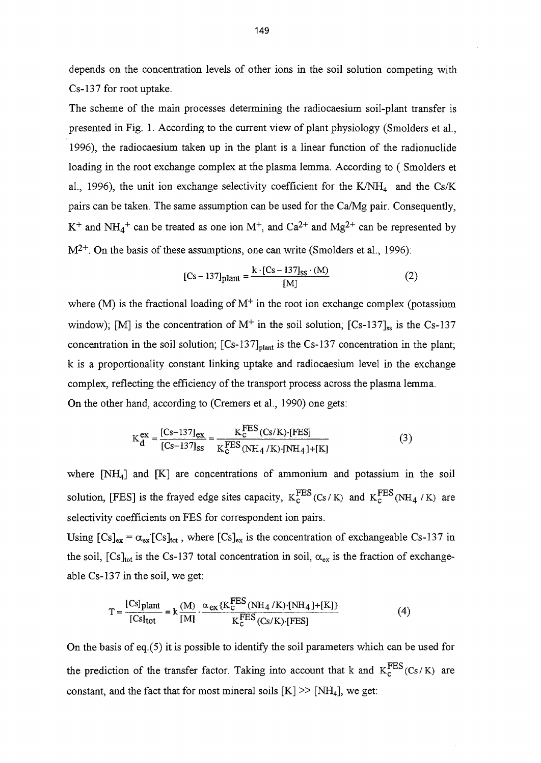depends on the concentration levels of other ions in the soil solution competing with Cs-137 for root uptake.

The scheme of the main processes determining the radiocaesium soil-plant transfer is presented in Fig. 1. According to the current view of plant physiology (Smolders et al., 1996), the radiocaesium taken up in the plant is a linear function of the radionuclide loading in the root exchange complex at the plasma lemma. According to ( Smolders et al., 1996), the unit ion exchange selectivity coefficient for the K/NH<sub>4</sub> and the Cs/K pairs can be taken. The same assumption can be used for the Ca/Mg pair. Consequently,  $K^+$  and  $NH_4^+$  can be treated as one ion  $M^+$ , and  $Ca^{2+}$  and  $Mg^{2+}$  can be represented by  $M^{2+}$ . On the basis of these assumptions, one can write (Smolders et al., 1996):

$$
[Cs - 137]_{\text{plant}} = \frac{k \cdot [Cs - 137]_{\text{ss}} \cdot (M)}{[M]}
$$
 (2)

where  $(M)$  is the fractional loading of  $M^{+}$  in the root ion exchange complex (potassium window); [M] is the concentration of  $M^+$  in the soil solution; [Cs-137]<sub>ss</sub> is the Cs-137 concentration in the soil solution;  $[Cs-137]_{\text{plant}}$  is the Cs-137 concentration in the plant; k is a proportionality constant linking uptake and radiocaesium level in the exchange complex, reflecting the efficiency of the transport process across the plasma lemma. On the other hand, according to (Cremers et al., 1990) one gets:

$$
K_{d}^{ex} = \frac{[Cs - 137]_{ex}}{[Cs - 137]_{ss}} = \frac{K_{c}^{FES}(Cs/K) \cdot [FES]}{K_{c}^{FES}(NH_{4}/K) \cdot [NH_{4}] + [K]}
$$
(3)

where  $[NH<sub>4</sub>]$  and  $[K]$  are concentrations of ammonium and potassium in the soil solution, [FES] is the frayed edge sites capacity,  $K_c^{FES}(Cs/K)$  and  $K_c^{FES}(NH_4/K)$  are selectivity coefficients on FES for correspondent ion pairs.

Using  $[Cs]_{ex} = \alpha_{ex} [Cs]_{tot}$ , where  $[Cs]_{ex}$  is the concentration of exchangeable Cs-137 in the soil,  $[Cs]_{\text{tot}}$  is the Cs-137 total concentration in soil,  $\alpha_{\text{ex}}$  is the fraction of exchangeable Cs-137 in the soil, we get:

$$
T = \frac{[Cs]_{\text{plant}}}{[Cs]_{\text{tot}}} = k \frac{(M)}{[M]} \cdot \frac{\alpha_{\text{ex}} \{K_{\text{c}}^{\text{FES}} (NH_4 / K) \cdot [NH_4] + [K]\}}{K_{\text{c}}^{\text{FES}} (Cs/K) \cdot [FES]}
$$
(4)

On the basis of eq.(5) it is possible to identify the soil parameters which can be used for the prediction of the transfer factor. Taking into account that k and  $K_c^{FES}$  (Cs/K) are constant, and the fact that for most mineral soils  $[K] \gg [NH_4]$ , we get: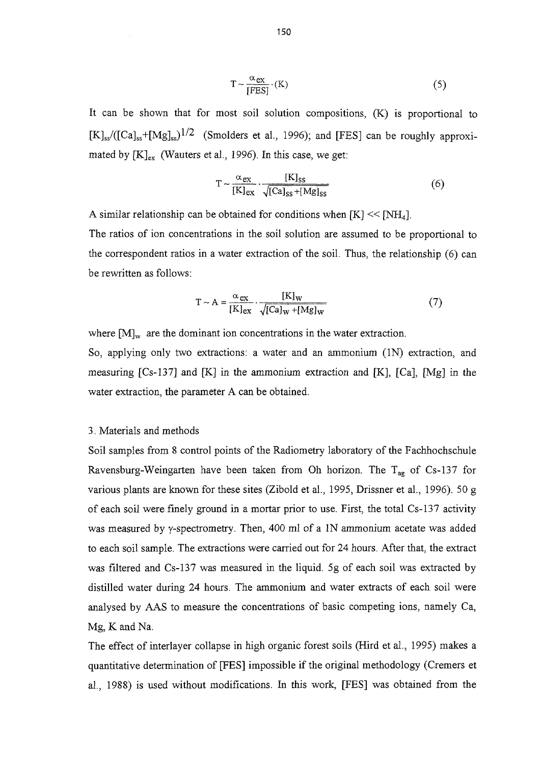$$
T \sim \frac{\alpha_{ex}}{[FES]} \cdot (K)
$$
 (5)

It can be shown that for most soil solution compositions, (K) is proportional to  $[K]_{ss} / ([Ca]_{ss} + [Mg]_{ss})^{1/2}$  (Smolders et al., 1996); and [FES] can be roughly approximated by  $[K]_{ex}$  (Wauters et al., 1996). In this case, we get:

$$
T \sim \frac{\alpha_{ex}}{[K]_{ex}} \cdot \frac{[K]_{ss}}{\sqrt{[Ca]_{ss} + [Mg]_{ss}}}
$$
(6)

A similar relationship can be obtained for conditions when  $[K] \ll [NH_4]$ .

The ratios of ion concentrations in the soil solution are assumed to be proportional to the correspondent ratios in a water extraction of the soil. Thus, the relationship (6) can be rewritten as follows:

$$
T \sim A = \frac{\alpha_{ex}}{[K]_{ex}} \cdot \frac{[K]_{w}}{\sqrt{[Ca]_{w} + [Mg]_{w}}}
$$
(7)

where  $[M]_{w}$  are the dominant ion concentrations in the water extraction.

So, applying only two extractions: a water and an ammonium (IN) extraction, and measuring [Cs-137] and [K] in the ammonium extraction and [K], [Ca], [Mg] in the water extraction, the parameter A can be obtained.

## 3. Materials and methods

Soil samples from 8 control points of the Radiometry laboratory of the Fachhochschule Ravensburg-Weingarten have been taken from Oh horizon. The  $T_{ag}$  of Cs-137 for various plants are known for these sites (Zibold et al., 1995, Drissner et al., 1996). 50 g of each soil were finely ground in a mortar prior to use. First, the total Cs-137 activity was measured by y-spectrometry. Then, 400 ml of a IN ammonium acetate was added to each soil sample. The extractions were carried out for 24 hours. After that, the extract was filtered and Cs-137 was measured in the liquid. 5g of each soil was extracted by distilled water during 24 hours. The ammonium and water extracts of each soil were analysed by AAS to measure the concentrations of basic competing ions, namely Ca, Mg, K and Na.

The effect of interlayer collapse in high organic forest soils (Hird et al., 1995) makes a quantitative determination of [FES] impossible if the original methodology (Cremers et al., 1988) is used without modifications. In this work, [FES] was obtained from the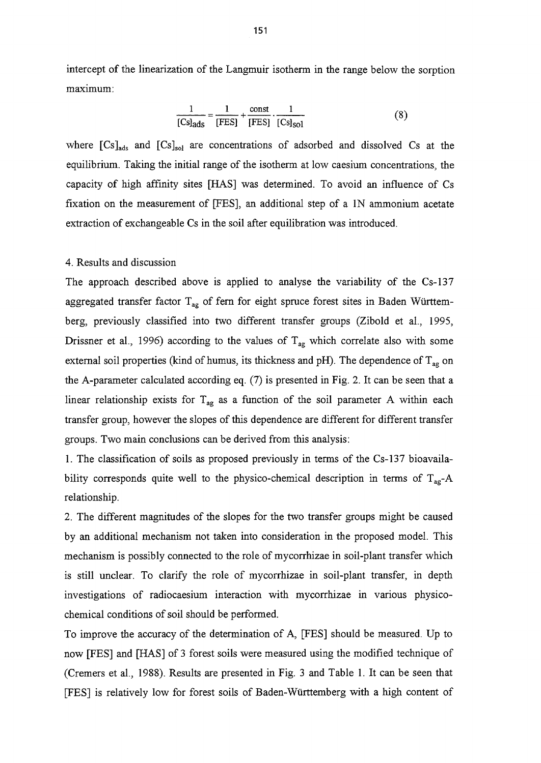intercept of the linearization of the Langmuir isotherm in the range below the sorption maximum:

$$
\frac{1}{\text{[Cs]}_{\text{ads}}} = \frac{1}{\text{[FES]}} + \frac{\text{const}}{\text{[FES]}} \cdot \frac{1}{\text{[Cs]}_{\text{sol}}}
$$
(8)

where  $[Cs]_{\text{ads}}$  and  $[Cs]_{\text{sol}}$  are concentrations of adsorbed and dissolved Cs at the equilibrium. Taking the initial range of the isotherm at low caesium concentrations, the capacity of high affinity sites [HAS] was determined. To avoid an influence of Cs fixation on the measurement of [FES], an additional step of a IN ammonium acetate extraction of exchangeable Cs in the soil after equilibration was introduced.

#### 4. Results and discussion

The approach described above is applied to analyse the variability of the Cs-137 aggregated transfer factor  $T_{aq}$  of fern for eight spruce forest sites in Baden Württemberg, previously classified into two different transfer groups (Zibold et al, 1995, Drissner et al., 1996) according to the values of  $T_{ag}$  which correlate also with some external soil properties (kind of humus, its thickness and pH). The dependence of  $T_{\text{ag}}$  on the A-parameter calculated according eq. (7) is presented in Fig. 2. It can be seen that a linear relationship exists for  $T_{ag}$  as a function of the soil parameter A within each transfer group, however the slopes of this dependence are different for different transfer groups. Two main conclusions can be derived from this analysis:

1. The classification of soils as proposed previously in terms of the Cs-137 bioavailability corresponds quite well to the physico-chemical description in terms of  $T_{ag}$ -A relationship.

2. The different magnitudes of the slopes for the two transfer groups might be caused by an additional mechanism not taken into consideration in the proposed model. This mechanism is possibly connected to the role of mycorrhizae in soil-plant transfer which is still unclear. To clarify the role of mycorrhizae in soil-plant transfer, in depth investigations of radiocaesium interaction with mycorrhizae in various physicochemical conditions of soil should be performed.

To improve the accuracy of the determination of A, [FES] should be measured. Up to now [FES] and [HAS] of 3 forest soils were measured using the modified technique of (Cremers et al., 1988). Results are presented in Fig. 3 and Table 1. It can be seen that [FES] is relatively low for forest soils of Baden-Wurttemberg with a high content of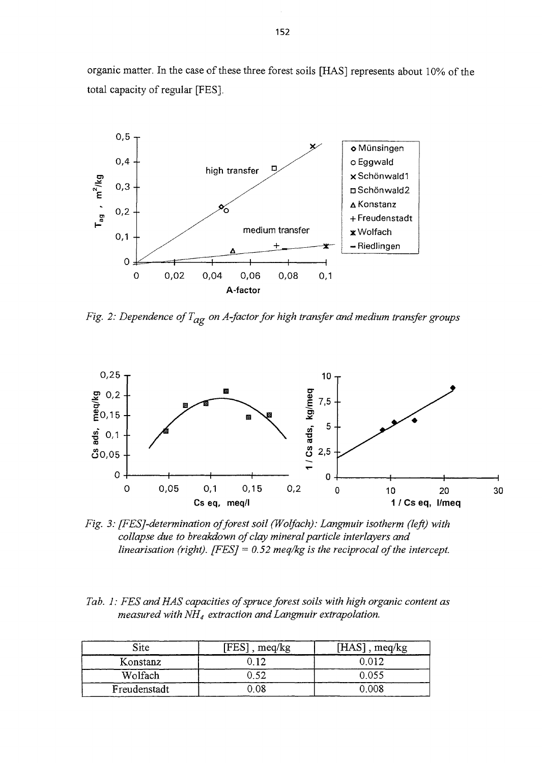organic matter. In the case of these three forest soils [HAS] represents about 10% of the total capacity of regular [FES].



*Fig. 2: Dependence of Tag on A-factor for high transfer and medium transfer groups*



*Fig. 3: [FESJ-determination of forest soil (Wolfach): Langmuir isotherm (left) with collapse due to breakdown of clay mineral particle interlayers and linearisation (right). [FES]* = 0.52 meq/kg is the reciprocal of the intercept.

|  | Tab. 1: FES and HAS capacities of spruce forest soils with high organic content as |  |  |
|--|------------------------------------------------------------------------------------|--|--|
|  | measured with $NH_4$ extraction and Langmuir extrapolation.                        |  |  |

| Site         | $[FES]$ , meq/kg | $[HAS]$ , meq/kg |
|--------------|------------------|------------------|
| Konstanz     |                  | 0.012            |
| Wolfach      | ) 52             | 0.055            |
| Freudenstadt | 0.8              | 0 008            |